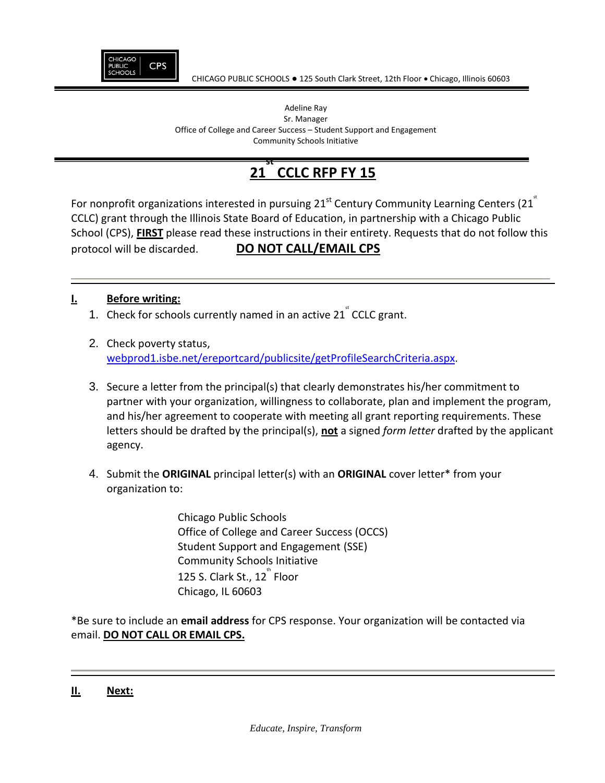

#### Adeline Ray Sr. Manager Office of College and Career Success – Student Support and Engagement Community Schools Initiative

#### **21 st CCLC RFP FY 15**

For nonprofit organizations interested in pursuing 21<sup>st</sup> Century Community Learning Centers (21<sup>\*</sup> CCLC) grant through the Illinois State Board of Education, in partnership with a Chicago Public School (CPS), **FIRST** please read these instructions in their entirety. Requests that do not follow this protocol will be discarded. **DO NOT CALL/EMAIL CPS**

# **I. Before writing:**

- 1. Check for schools currently named in an active  $21^{\degree}$  CCLC grant.
- 2. Check poverty status, webprod1.isbe.net/ereportcard/publicsite/getProfileSearchCriteria.aspx.
- 3. Secure a letter from the principal(s) that clearly demonstrates his/her commitment to partner with your organization, willingness to collaborate, plan and implement the program, and his/her agreement to cooperate with meeting all grant reporting requirements. These letters should be drafted by the principal(s), **not** a signed *form letter* drafted by the applicant agency.
- 4. Submit the **ORIGINAL** principal letter(s) with an **ORIGINAL** cover letter\* from your organization to:

Chicago Public Schools Office of College and Career Success (OCCS) Student Support and Engagement (SSE) Community Schools Initiative 125 S. Clark St., 12 $^{\text{th}}$  Floor Chicago, IL 60603

\*Be sure to include an **email address** for CPS response. Your organization will be contacted via email. **DO NOT CALL OR EMAIL CPS.**

### **II. Next:**